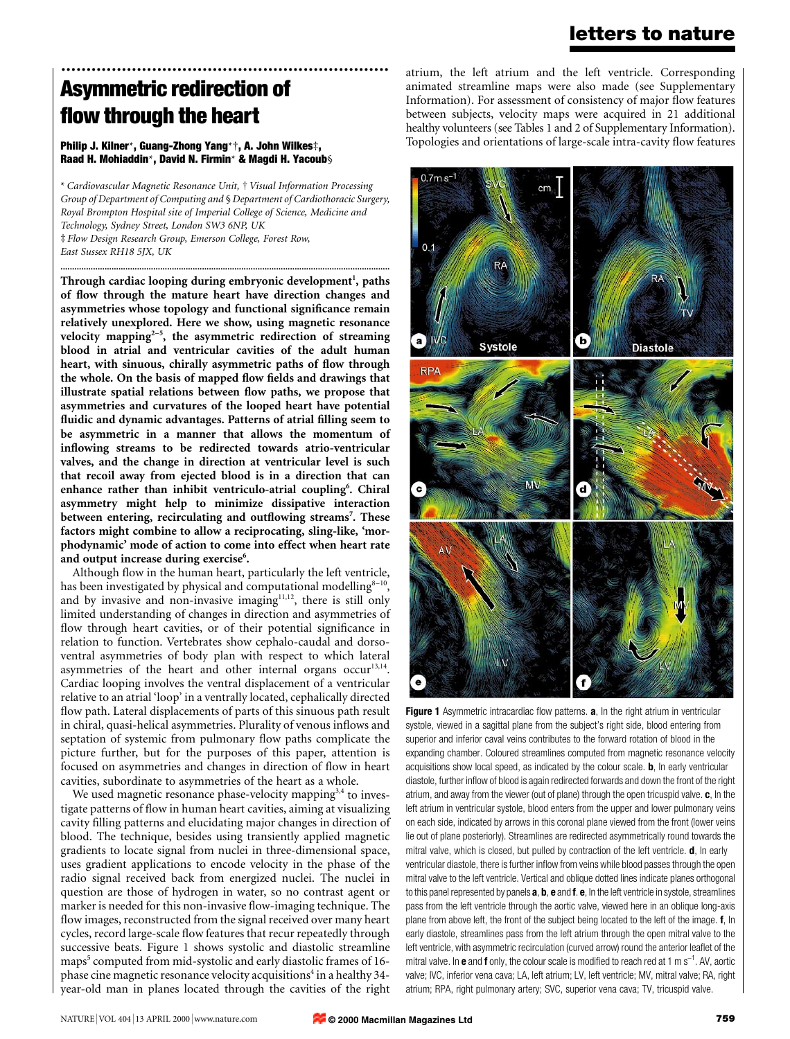## letters to nature

# ................................................................. Asymmetric redirection of flow through the heart

#### Philip J. Kilner\*, Guang-Zhong Yang\*†, A. John Wilkes‡, Raad H. Mohiaddin\*, David N. Firmin\* & Magdi H. Yacoub§

\* Cardiovascular Magnetic Resonance Unit, ² Visual Information Processing Group of Department of Computing and § Department of Cardiothoracic Surgery, Royal Brompton Hospital site of Imperial College of Science, Medicine and Technology, Sydney Street, London SW3 6NP, UK ³ Flow Design Research Group, Emerson College, Forest Row, East Sussex RH18 5JX, UK

..............................................................................................................................................

Through cardiac looping during embryonic development<sup>1</sup>, paths of flow through the mature heart have direction changes and asymmetries whose topology and functional significance remain relatively unexplored. Here we show, using magnetic resonance velocity mapping<sup>2-5</sup>, the asymmetric redirection of streaming blood in atrial and ventricular cavities of the adult human heart, with sinuous, chirally asymmetric paths of flow through the whole. On the basis of mapped flow fields and drawings that illustrate spatial relations between flow paths, we propose that asymmetries and curvatures of the looped heart have potential fluidic and dynamic advantages. Patterns of atrial filling seem to be asymmetric in a manner that allows the momentum of inflowing streams to be redirected towards atrio-ventricular valves, and the change in direction at ventricular level is such that recoil away from ejected blood is in a direction that can enhance rather than inhibit ventriculo-atrial coupling<sup>6</sup>. Chiral asymmetry might help to minimize dissipative interaction between entering, recirculating and outflowing streams<sup>7</sup>. These factors might combine to allow a reciprocating, sling-like, `morphodynamic' mode of action to come into effect when heart rate and output increase during exercise<sup>6</sup>.

Although flow in the human heart, particularly the left ventricle, has been investigated by physical and computational modelling $8-10$ , and by invasive and non-invasive imaging $11,12$ , there is still only limited understanding of changes in direction and asymmetries of flow through heart cavities, or of their potential significance in relation to function. Vertebrates show cephalo-caudal and dorsoventral asymmetries of body plan with respect to which lateral asymmetries of the heart and other internal organs occur<sup>13,14</sup>. Cardiac looping involves the ventral displacement of a ventricular relative to an atrial 'loop' in a ventrally located, cephalically directed flow path. Lateral displacements of parts of this sinuous path result in chiral, quasi-helical asymmetries. Plurality of venous inflows and septation of systemic from pulmonary flow paths complicate the picture further, but for the purposes of this paper, attention is focused on asymmetries and changes in direction of flow in heart cavities, subordinate to asymmetries of the heart as a whole.

We used magnetic resonance phase-velocity mapping<sup>3,4</sup> to investigate patterns of flow in human heart cavities, aiming at visualizing cavity filling patterns and elucidating major changes in direction of blood. The technique, besides using transiently applied magnetic gradients to locate signal from nuclei in three-dimensional space, uses gradient applications to encode velocity in the phase of the radio signal received back from energized nuclei. The nuclei in question are those of hydrogen in water, so no contrast agent or marker is needed for this non-invasive flow-imaging technique. The flow images, reconstructed from the signal received over many heart cycles, record large-scale flow features that recur repeatedly through successive beats. Figure 1 shows systolic and diastolic streamline maps<sup>5</sup> computed from mid-systolic and early diastolic frames of 16phase cine magnetic resonance velocity acquisitions<sup>4</sup> in a healthy 34year-old man in planes located through the cavities of the right

atrium, the left atrium and the left ventricle. Corresponding animated streamline maps were also made (see Supplementary Information). For assessment of consistency of major flow features between subjects, velocity maps were acquired in 21 additional healthy volunteers (see Tables 1 and 2 of Supplementary Information). Topologies and orientations of large-scale intra-cavity flow features



Figure 1 Asymmetric intracardiac flow patterns. a, In the right atrium in ventricular systole, viewed in a sagittal plane from the subject's right side, blood entering from superior and inferior caval veins contributes to the forward rotation of blood in the expanding chamber. Coloured streamlines computed from magnetic resonance velocity acquisitions show local speed, as indicated by the colour scale. **, In early ventricular** diastole, further inflow of blood is again redirected forwards and down the front of the right atrium, and away from the viewer (out of plane) through the open tricuspid valve. c, In the left atrium in ventricular systole, blood enters from the upper and lower pulmonary veins on each side, indicated by arrows in this coronal plane viewed from the front (lower veins lie out of plane posteriorly). Streamlines are redirected asymmetrically round towards the mitral valve, which is closed, but pulled by contraction of the left ventricle. **d**, In early ventricular diastole, there is further inflow from veins while blood passes through the open mitral valve to the left ventricle. Vertical and oblique dotted lines indicate planes orthogonal to this panel represented by panels a, b, e and f. e, In the left ventricle in systole, streamlines pass from the left ventricle through the aortic valve, viewed here in an oblique long-axis plane from above left, the front of the subject being located to the left of the image. f, In early diastole, streamlines pass from the left atrium through the open mitral valve to the left ventricle, with asymmetric recirculation (curved arrow) round the anterior leaflet of the mitral valve. In **e** and **f** only, the colour scale is modified to reach red at 1 m s<sup>-1</sup>. AV, aortic valve; IVC, inferior vena cava; LA, left atrium; LV, left ventricle; MV, mitral valve; RA, right atrium; RPA, right pulmonary artery; SVC, superior vena cava; TV, tricuspid valve.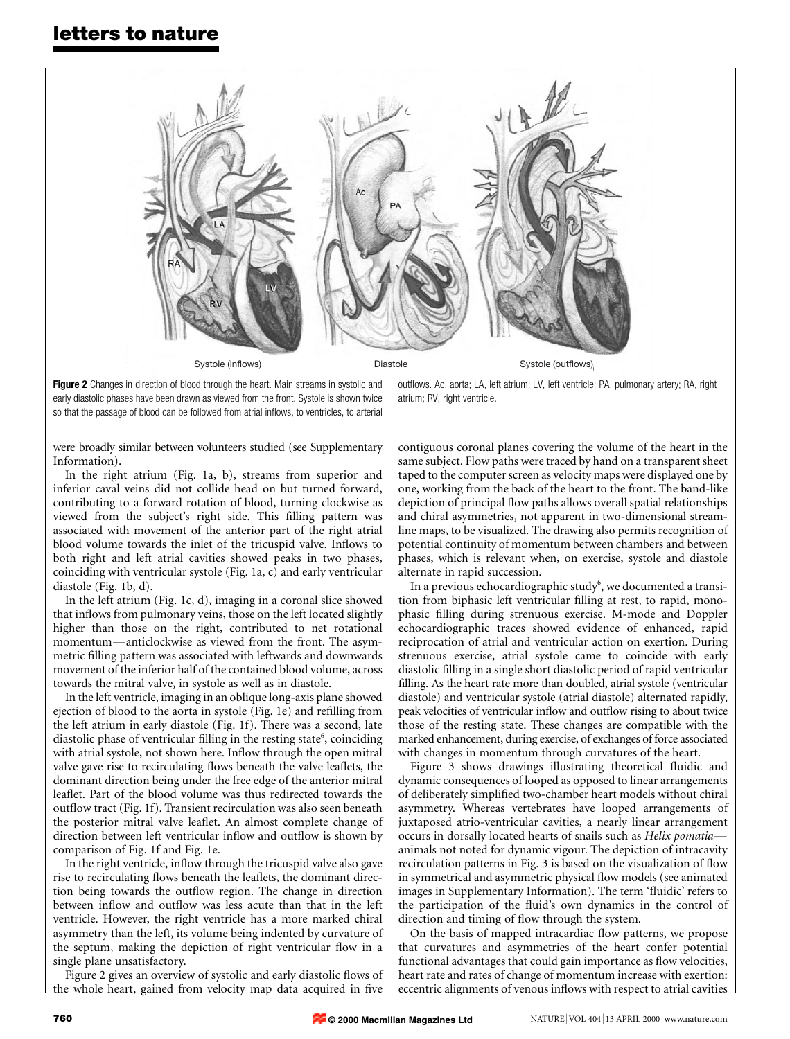

Figure 2 Changes in direction of blood through the heart. Main streams in systolic and early diastolic phases have been drawn as viewed from the front. Systole is shown twice so that the passage of blood can be followed from atrial inflows, to ventricles, to arterial

outflows. Ao, aorta; LA, left atrium; LV, left ventricle; PA, pulmonary artery; RA, right atrium; RV, right ventricle.

were broadly similar between volunteers studied (see Supplementary Information).

In the right atrium (Fig. 1a, b), streams from superior and inferior caval veins did not collide head on but turned forward, contributing to a forward rotation of blood, turning clockwise as viewed from the subject's right side. This filling pattern was associated with movement of the anterior part of the right atrial blood volume towards the inlet of the tricuspid valve. Inflows to both right and left atrial cavities showed peaks in two phases, coinciding with ventricular systole (Fig. 1a, c) and early ventricular diastole (Fig. 1b, d).

In the left atrium (Fig. 1c, d), imaging in a coronal slice showed that inflows from pulmonary veins, those on the left located slightly higher than those on the right, contributed to net rotational momentum—anticlockwise as viewed from the front. The asymmetric filling pattern was associated with leftwards and downwards movement of the inferior half of the contained blood volume, across towards the mitral valve, in systole as well as in diastole.

In the left ventricle, imaging in an oblique long-axis plane showed ejection of blood to the aorta in systole (Fig. 1e) and refilling from the left atrium in early diastole (Fig. 1f). There was a second, late diastolic phase of ventricular filling in the resting state<sup>6</sup>, coinciding with atrial systole, not shown here. Inflow through the open mitral valve gave rise to recirculating flows beneath the valve leaflets, the dominant direction being under the free edge of the anterior mitral leaflet. Part of the blood volume was thus redirected towards the outflow tract (Fig. 1f). Transient recirculation was also seen beneath the posterior mitral valve leaflet. An almost complete change of direction between left ventricular inflow and outflow is shown by comparison of Fig. 1f and Fig. 1e.

In the right ventricle, inflow through the tricuspid valve also gave rise to recirculating flows beneath the leaflets, the dominant direction being towards the outflow region. The change in direction between inflow and outflow was less acute than that in the left ventricle. However, the right ventricle has a more marked chiral asymmetry than the left, its volume being indented by curvature of the septum, making the depiction of right ventricular flow in a single plane unsatisfactory.

Figure 2 gives an overview of systolic and early diastolic flows of the whole heart, gained from velocity map data acquired in five

contiguous coronal planes covering the volume of the heart in the same subject. Flow paths were traced by hand on a transparent sheet taped to the computer screen as velocity maps were displayed one by one, working from the back of the heart to the front. The band-like depiction of principal flow paths allows overall spatial relationships and chiral asymmetries, not apparent in two-dimensional streamline maps, to be visualized. The drawing also permits recognition of potential continuity of momentum between chambers and between phases, which is relevant when, on exercise, systole and diastole alternate in rapid succession.

In a previous echocardiographic study $^6$ , we documented a transition from biphasic left ventricular filling at rest, to rapid, monophasic filling during strenuous exercise. M-mode and Doppler echocardiographic traces showed evidence of enhanced, rapid reciprocation of atrial and ventricular action on exertion. During strenuous exercise, atrial systole came to coincide with early diastolic filling in a single short diastolic period of rapid ventricular filling. As the heart rate more than doubled, atrial systole (ventricular diastole) and ventricular systole (atrial diastole) alternated rapidly, peak velocities of ventricular inflow and outflow rising to about twice those of the resting state. These changes are compatible with the marked enhancement, during exercise, of exchanges of force associated with changes in momentum through curvatures of the heart.

Figure 3 shows drawings illustrating theoretical fluidic and dynamic consequences of looped as opposed to linear arrangements of deliberately simplified two-chamber heart models without chiral asymmetry. Whereas vertebrates have looped arrangements of juxtaposed atrio-ventricular cavities, a nearly linear arrangement occurs in dorsally located hearts of snails such as Helix pomatiaanimals not noted for dynamic vigour. The depiction of intracavity recirculation patterns in Fig. 3 is based on the visualization of flow in symmetrical and asymmetric physical flow models (see animated images in Supplementary Information). The term 'fluidic' refers to the participation of the fluid's own dynamics in the control of direction and timing of flow through the system.

On the basis of mapped intracardiac flow patterns, we propose that curvatures and asymmetries of the heart confer potential functional advantages that could gain importance as flow velocities, heart rate and rates of change of momentum increase with exertion: eccentric alignments of venous inflows with respect to atrial cavities